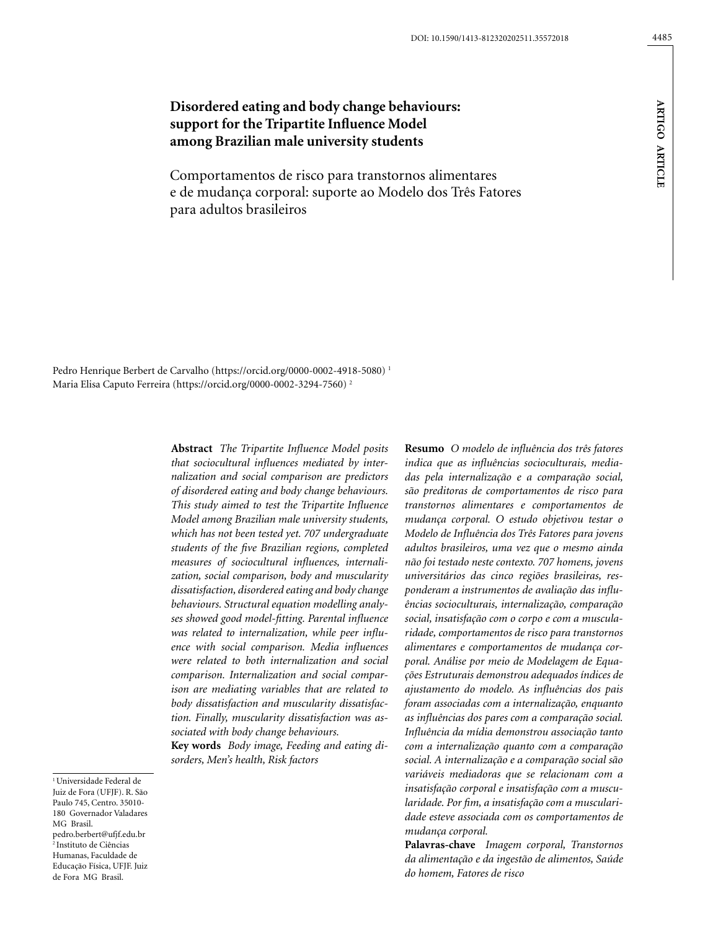# **Disordered eating and body change behaviours: support for the Tripartite Influence Model among Brazilian male university students**

Comportamentos de risco para transtornos alimentares e de mudança corporal: suporte ao Modelo dos Três Fatores para adultos brasileiros

Pedro Henrique Berbert de Carvalho (https://orcid.org/0000-0002-4918-5080) 1 Maria Elisa Caputo Ferreira (https://orcid.org/0000-0002-3294-7560) 2

> **Abstract** *The Tripartite Influence Model posits that sociocultural influences mediated by internalization and social comparison are predictors of disordered eating and body change behaviours. This study aimed to test the Tripartite Influence Model among Brazilian male university students, which has not been tested yet. 707 undergraduate students of the five Brazilian regions, completed measures of sociocultural influences, internalization, social comparison, body and muscularity dissatisfaction, disordered eating and body change behaviours. Structural equation modelling analyses showed good model-fitting. Parental influence was related to internalization, while peer influence with social comparison. Media influences were related to both internalization and social comparison. Internalization and social comparison are mediating variables that are related to body dissatisfaction and muscularity dissatisfaction. Finally, muscularity dissatisfaction was associated with body change behaviours.*

**Key words** *Body image, Feeding and eating disorders, Men's health, Risk factors*

<sup>1</sup> Universidade Federal de Juiz de Fora (UFJF). R. São Paulo 745, Centro. 35010- 180 Governador Valadares MG Brasil. pedro.berbert@ufjf.edu.br 2 Instituto de Ciências Humanas, Faculdade de Educação Física, UFJF. Juiz de Fora MG Brasil.

**Resumo** *O modelo de influência dos três fatores indica que as influências socioculturais, mediadas pela internalização e a comparação social, são preditoras de comportamentos de risco para transtornos alimentares e comportamentos de mudança corporal. O estudo objetivou testar o Modelo de Influência dos Três Fatores para jovens adultos brasileiros, uma vez que o mesmo ainda não foi testado neste contexto. 707 homens, jovens universitários das cinco regiões brasileiras, responderam a instrumentos de avaliação das influências socioculturais, internalização, comparação social, insatisfação com o corpo e com a muscularidade, comportamentos de risco para transtornos alimentares e comportamentos de mudança corporal. Análise por meio de Modelagem de Equações Estruturais demonstrou adequados índices de ajustamento do modelo. As influências dos pais foram associadas com a internalização, enquanto as influências dos pares com a comparação social. Influência da mídia demonstrou associação tanto com a internalização quanto com a comparação social. A internalização e a comparação social são variáveis mediadoras que se relacionam com a insatisfação corporal e insatisfação com a muscularidade. Por fim, a insatisfação com a muscularidade esteve associada com os comportamentos de mudança corporal.*

**Palavras-chave** *Imagem corporal, Transtornos da alimentação e da ingestão de alimentos, Saúde do homem, Fatores de risco*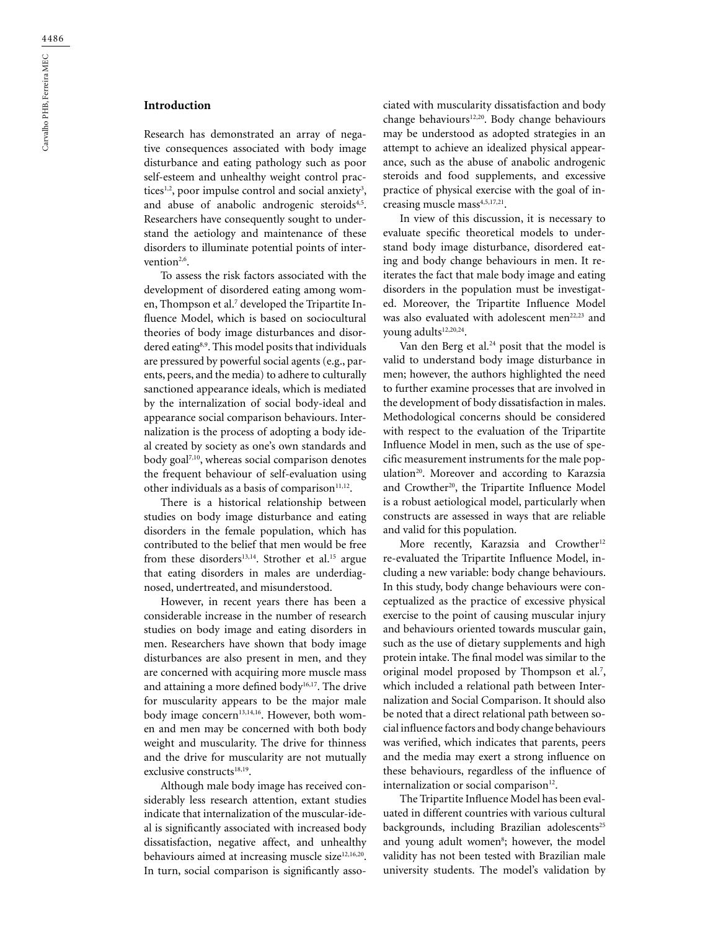## **Introduction**

Research has demonstrated an array of negative consequences associated with body image disturbance and eating pathology such as poor self-esteem and unhealthy weight control practices<sup>1,2</sup>, poor impulse control and social anxiety<sup>3</sup>, and abuse of anabolic androgenic steroids<sup>4,5</sup>. Researchers have consequently sought to understand the aetiology and maintenance of these disorders to illuminate potential points of intervention<sup>2,6</sup>.

To assess the risk factors associated with the development of disordered eating among women, Thompson et al.<sup>7</sup> developed the Tripartite Influence Model, which is based on sociocultural theories of body image disturbances and disordered eating<sup>8,9</sup>. This model posits that individuals are pressured by powerful social agents (e.g., parents, peers, and the media) to adhere to culturally sanctioned appearance ideals, which is mediated by the internalization of social body-ideal and appearance social comparison behaviours. Internalization is the process of adopting a body ideal created by society as one's own standards and body goal<sup>7,10</sup>, whereas social comparison denotes the frequent behaviour of self-evaluation using other individuals as a basis of comparison $11,12$ .

There is a historical relationship between studies on body image disturbance and eating disorders in the female population, which has contributed to the belief that men would be free from these disorders<sup>13,14</sup>. Strother et al.<sup>15</sup> argue that eating disorders in males are underdiagnosed, undertreated, and misunderstood.

However, in recent years there has been a considerable increase in the number of research studies on body image and eating disorders in men. Researchers have shown that body image disturbances are also present in men, and they are concerned with acquiring more muscle mass and attaining a more defined body<sup>16,17</sup>. The drive for muscularity appears to be the major male body image concern<sup>13,14,16</sup>. However, both women and men may be concerned with both body weight and muscularity. The drive for thinness and the drive for muscularity are not mutually exclusive constructs<sup>18,19</sup>.

Although male body image has received considerably less research attention, extant studies indicate that internalization of the muscular-ideal is significantly associated with increased body dissatisfaction, negative affect, and unhealthy behaviours aimed at increasing muscle size<sup>12,16,20</sup>. In turn, social comparison is significantly associated with muscularity dissatisfaction and body change behaviours<sup>12,20</sup>. Body change behaviours may be understood as adopted strategies in an attempt to achieve an idealized physical appearance, such as the abuse of anabolic androgenic steroids and food supplements, and excessive practice of physical exercise with the goal of increasing muscle mass<sup>4,5,17,21</sup>.

In view of this discussion, it is necessary to evaluate specific theoretical models to understand body image disturbance, disordered eating and body change behaviours in men. It reiterates the fact that male body image and eating disorders in the population must be investigated. Moreover, the Tripartite Influence Model was also evaluated with adolescent men<sup>22,23</sup> and young adults<sup>12,20,24</sup>.

Van den Berg et al.<sup>24</sup> posit that the model is valid to understand body image disturbance in men; however, the authors highlighted the need to further examine processes that are involved in the development of body dissatisfaction in males. Methodological concerns should be considered with respect to the evaluation of the Tripartite Influence Model in men, such as the use of specific measurement instruments for the male population<sup>20</sup>. Moreover and according to Karazsia and Crowther<sup>20</sup>, the Tripartite Influence Model is a robust aetiological model, particularly when constructs are assessed in ways that are reliable and valid for this population.

More recently, Karazsia and Crowther<sup>12</sup> re-evaluated the Tripartite Influence Model, including a new variable: body change behaviours. In this study, body change behaviours were conceptualized as the practice of excessive physical exercise to the point of causing muscular injury and behaviours oriented towards muscular gain, such as the use of dietary supplements and high protein intake. The final model was similar to the original model proposed by Thompson et al.<sup>7</sup>, which included a relational path between Internalization and Social Comparison. It should also be noted that a direct relational path between social influence factors and body change behaviours was verified, which indicates that parents, peers and the media may exert a strong influence on these behaviours, regardless of the influence of internalization or social comparison<sup>12</sup>.

The Tripartite Influence Model has been evaluated in different countries with various cultural backgrounds, including Brazilian adolescents<sup>25</sup> and young adult women<sup>8</sup>; however, the model validity has not been tested with Brazilian male university students. The model's validation by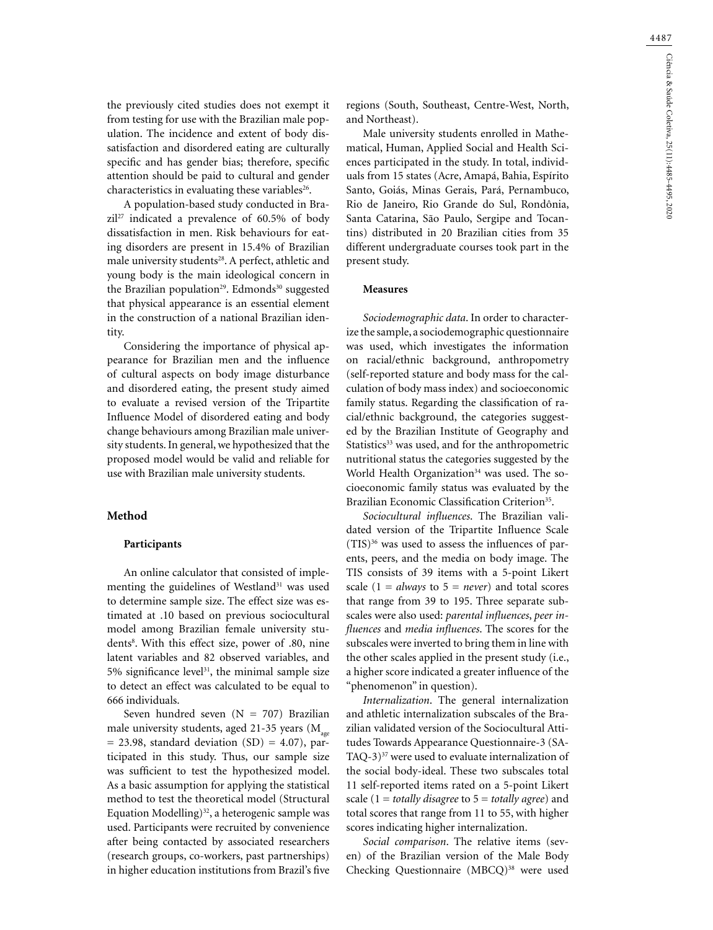4487

the previously cited studies does not exempt it from testing for use with the Brazilian male population. The incidence and extent of body dissatisfaction and disordered eating are culturally specific and has gender bias; therefore, specific attention should be paid to cultural and gender characteristics in evaluating these variables<sup>26</sup>.

A population-based study conducted in Bra $zil<sup>27</sup>$  indicated a prevalence of 60.5% of body dissatisfaction in men. Risk behaviours for eating disorders are present in 15.4% of Brazilian male university students<sup>28</sup>. A perfect, athletic and young body is the main ideological concern in the Brazilian population<sup>29</sup>. Edmonds<sup>30</sup> suggested that physical appearance is an essential element in the construction of a national Brazilian identity.

Considering the importance of physical appearance for Brazilian men and the influence of cultural aspects on body image disturbance and disordered eating, the present study aimed to evaluate a revised version of the Tripartite Influence Model of disordered eating and body change behaviours among Brazilian male university students. In general, we hypothesized that the proposed model would be valid and reliable for use with Brazilian male university students.

#### **Method**

#### **Participants**

An online calculator that consisted of implementing the guidelines of Westland<sup>31</sup> was used to determine sample size. The effect size was estimated at .10 based on previous sociocultural model among Brazilian female university students<sup>8</sup>. With this effect size, power of .80, nine latent variables and 82 observed variables, and 5% significance level $31$ , the minimal sample size to detect an effect was calculated to be equal to 666 individuals.

Seven hundred seven  $(N = 707)$  Brazilian male university students, aged 21-35 years  $(M_{\text{max}})$  $= 23.98$ , standard deviation (SD)  $= 4.07$ ), participated in this study. Thus, our sample size was sufficient to test the hypothesized model. As a basic assumption for applying the statistical method to test the theoretical model (Structural Equation Modelling) $32$ , a heterogenic sample was used. Participants were recruited by convenience after being contacted by associated researchers (research groups, co-workers, past partnerships) in higher education institutions from Brazil's five regions (South, Southeast, Centre-West, North, and Northeast).

Male university students enrolled in Mathematical, Human, Applied Social and Health Sciences participated in the study. In total, individuals from 15 states (Acre, Amapá, Bahia, Espírito Santo, Goiás, Minas Gerais, Pará, Pernambuco, Rio de Janeiro, Rio Grande do Sul, Rondônia, Santa Catarina, São Paulo, Sergipe and Tocantins) distributed in 20 Brazilian cities from 35 different undergraduate courses took part in the present study.

#### **Measures**

*Sociodemographic data*. In order to characterize the sample, a sociodemographic questionnaire was used, which investigates the information on racial/ethnic background, anthropometry (self-reported stature and body mass for the calculation of body mass index) and socioeconomic family status. Regarding the classification of racial/ethnic background, the categories suggested by the Brazilian Institute of Geography and Statistics<sup>33</sup> was used, and for the anthropometric nutritional status the categories suggested by the World Health Organization<sup>34</sup> was used. The socioeconomic family status was evaluated by the Brazilian Economic Classification Criterion<sup>35</sup>.

*Sociocultural influences*. The Brazilian validated version of the Tripartite Influence Scale (TIS)36 was used to assess the influences of parents, peers, and the media on body image. The TIS consists of 39 items with a 5-point Likert scale  $(1 = always to 5 = never)$  and total scores that range from 39 to 195. Three separate subscales were also used: *parental influences*, *peer influences* and *media influences*. The scores for the subscales were inverted to bring them in line with the other scales applied in the present study (i.e., a higher score indicated a greater influence of the "phenomenon" in question).

*Internalization*. The general internalization and athletic internalization subscales of the Brazilian validated version of the Sociocultural Attitudes Towards Appearance Questionnaire-3 (SA-TAQ-3) $37$  were used to evaluate internalization of the social body-ideal. These two subscales total 11 self-reported items rated on a 5-point Likert scale (1 = *totally disagree* to 5 = *totally agree*) and total scores that range from 11 to 55, with higher scores indicating higher internalization.

*Social comparison*. The relative items (seven) of the Brazilian version of the Male Body Checking Questionnaire (MBCQ)<sup>38</sup> were used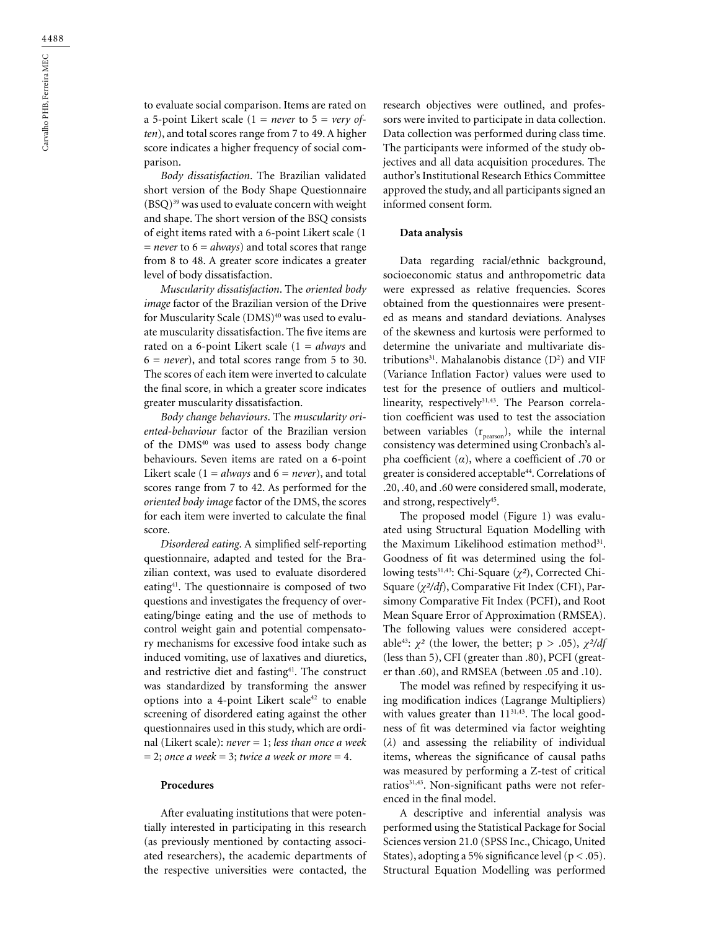to evaluate social comparison. Items are rated on a 5-point Likert scale  $(1 = never to 5 = very of$ *ten*), and total scores range from 7 to 49. A higher score indicates a higher frequency of social comparison.

*Body dissatisfaction*. The Brazilian validated short version of the Body Shape Questionnaire (BSQ)39 was used to evaluate concern with weight and shape. The short version of the BSQ consists of eight items rated with a 6-point Likert scale (1 = *never* to 6 = *always*) and total scores that range from 8 to 48. A greater score indicates a greater level of body dissatisfaction.

*Muscularity dissatisfaction*. The *oriented body image* factor of the Brazilian version of the Drive for Muscularity Scale (DMS)<sup>40</sup> was used to evaluate muscularity dissatisfaction. The five items are rated on a 6-point Likert scale (1 = *always* and  $6 = never$ , and total scores range from 5 to 30. The scores of each item were inverted to calculate the final score, in which a greater score indicates greater muscularity dissatisfaction.

*Body change behaviours*. The *muscularity oriented-behaviour* factor of the Brazilian version of the DMS40 was used to assess body change behaviours. Seven items are rated on a 6-point Likert scale ( $1 = always$  and  $6 = never$ ), and total scores range from 7 to 42. As performed for the *oriented body image* factor of the DMS, the scores for each item were inverted to calculate the final score.

*Disordered eating*. A simplified self-reporting questionnaire, adapted and tested for the Brazilian context, was used to evaluate disordered eating41. The questionnaire is composed of two questions and investigates the frequency of overeating/binge eating and the use of methods to control weight gain and potential compensatory mechanisms for excessive food intake such as induced vomiting, use of laxatives and diuretics, and restrictive diet and fasting<sup>41</sup>. The construct was standardized by transforming the answer options into a 4-point Likert scale<sup>42</sup> to enable screening of disordered eating against the other questionnaires used in this study, which are ordinal (Likert scale): *never* = 1; *less than once a week*  $= 2$ ; *once a week* = 3; *twice a week or more* = 4.

#### **Procedures**

After evaluating institutions that were potentially interested in participating in this research (as previously mentioned by contacting associated researchers), the academic departments of the respective universities were contacted, the

research objectives were outlined, and professors were invited to participate in data collection. Data collection was performed during class time. The participants were informed of the study objectives and all data acquisition procedures. The author's Institutional Research Ethics Committee approved the study, and all participants signed an informed consent form*.*

#### **Data analysis**

Data regarding racial/ethnic background, socioeconomic status and anthropometric data were expressed as relative frequencies. Scores obtained from the questionnaires were presented as means and standard deviations. Analyses of the skewness and kurtosis were performed to determine the univariate and multivariate distributions<sup>31</sup>. Mahalanobis distance  $(D^2)$  and VIF (Variance Inflation Factor) values were used to test for the presence of outliers and multicollinearity, respectively<sup>31,43</sup>. The Pearson correlation coefficient was used to test the association between variables  $(r_{\text{person}})$ , while the internal consistency was determined using Cronbach's alpha coefficient (*α*), where a coefficient of .70 or greater is considered acceptable<sup>44</sup>. Correlations of .20, .40, and .60 were considered small, moderate, and strong, respectively45.

The proposed model (Figure 1) was evaluated using Structural Equation Modelling with the Maximum Likelihood estimation method<sup>31</sup>. Goodness of fit was determined using the following tests<sup>31,43</sup>: Chi-Square (*χ*<sup>2</sup>), Corrected Chi-Square (*χ²/df*), Comparative Fit Index (CFI), Parsimony Comparative Fit Index (PCFI), and Root Mean Square Error of Approximation (RMSEA). The following values were considered acceptable<sup>43</sup>:  $\chi^2$  (the lower, the better; p > .05),  $\chi^2/df$ (less than 5), CFI (greater than .80), PCFI (greater than .60), and RMSEA (between .05 and .10).

The model was refined by respecifying it using modification indices (Lagrange Multipliers) with values greater than  $11^{31,43}$ . The local goodness of fit was determined via factor weighting (*λ*) and assessing the reliability of individual items, whereas the significance of causal paths was measured by performing a Z-test of critical ratios<sup>31,43</sup>. Non-significant paths were not referenced in the final model.

A descriptive and inferential analysis was performed using the Statistical Package for Social Sciences version 21.0 (SPSS Inc., Chicago, United States), adopting a 5% significance level ( $p < .05$ ). Structural Equation Modelling was performed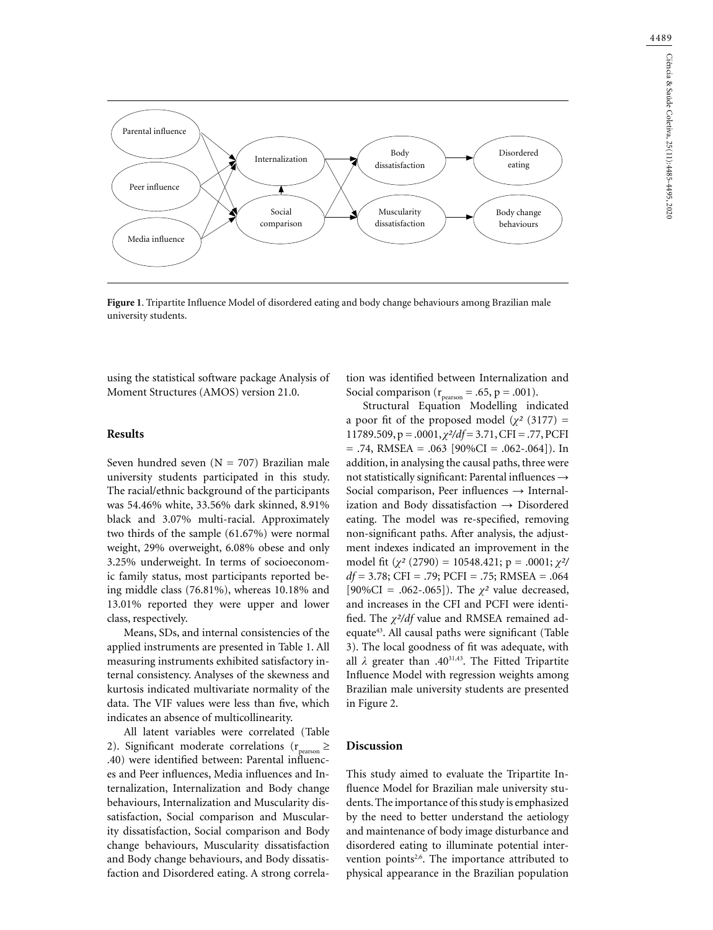

**Figure 1**. Tripartite Influence Model of disordered eating and body change behaviours among Brazilian male university students.

using the statistical software package Analysis of Moment Structures (AMOS) version 21.0.

#### **Results**

Seven hundred seven  $(N = 707)$  Brazilian male university students participated in this study. The racial/ethnic background of the participants was 54.46% white, 33.56% dark skinned, 8.91% black and 3.07% multi-racial. Approximately two thirds of the sample (61.67%) were normal weight, 29% overweight, 6.08% obese and only 3.25% underweight. In terms of socioeconomic family status, most participants reported being middle class (76.81%), whereas 10.18% and 13.01% reported they were upper and lower class, respectively.

Means, SDs, and internal consistencies of the applied instruments are presented in Table 1. All measuring instruments exhibited satisfactory internal consistency. Analyses of the skewness and kurtosis indicated multivariate normality of the data. The VIF values were less than five, which indicates an absence of multicollinearity.

All latent variables were correlated (Table 2). Significant moderate correlations ( $r_{\text{person}} \ge$ .40) were identified between: Parental influences and Peer influences, Media influences and Internalization, Internalization and Body change behaviours, Internalization and Muscularity dissatisfaction, Social comparison and Muscularity dissatisfaction, Social comparison and Body change behaviours, Muscularity dissatisfaction and Body change behaviours, and Body dissatisfaction and Disordered eating. A strong correla-

tion was identified between Internalization and Social comparison ( $r_{\text{pearson}} = .65$ ,  $p = .001$ ).

Structural Equation Modelling indicated a poor fit of the proposed model  $(\chi^2)(3177)$  = 11789.509, p = .0001, *χ²/df* = 3.71, CFI = .77, PCFI  $= .74$ , RMSEA  $= .063$  [90%CI  $= .062$ -.064]). In addition, in analysing the causal paths, three were not statistically significant: Parental influences  $\rightarrow$ Social comparison, Peer influences  $\rightarrow$  Internalization and Body dissatisfaction → Disordered eating. The model was re-specified, removing non-significant paths. After analysis, the adjustment indexes indicated an improvement in the model fit (*χ²* (2790) = 10548.421; p = .0001; *χ²/ df* = 3.78; CFI = .79; PCFI = .75; RMSEA = .064 [90%CI = .062-.065]). The *χ²* value decreased, and increases in the CFI and PCFI were identified. The *χ²/df* value and RMSEA remained adequate43. All causal paths were significant (Table 3). The local goodness of fit was adequate, with all *λ* greater than .4031,43. The Fitted Tripartite Influence Model with regression weights among Brazilian male university students are presented in Figure 2.

#### **Discussion**

This study aimed to evaluate the Tripartite Influence Model for Brazilian male university students. The importance of this study is emphasized by the need to better understand the aetiology and maintenance of body image disturbance and disordered eating to illuminate potential intervention points<sup>2,6</sup>. The importance attributed to physical appearance in the Brazilian population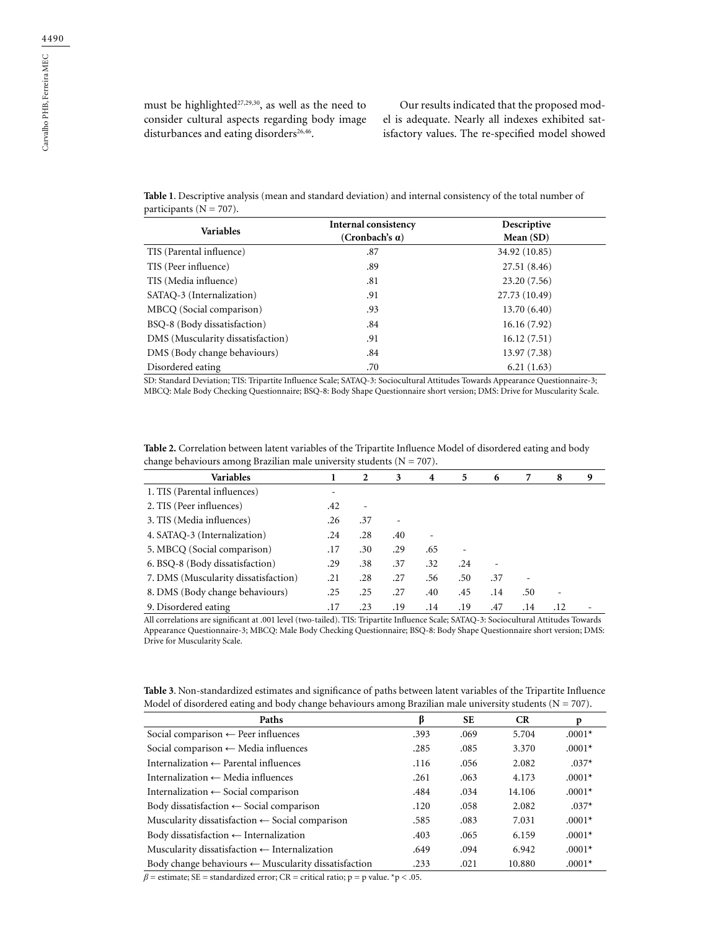Our results indicated that the proposed model is adequate. Nearly all indexes exhibited satisfactory values. The re-specified model showed

**Table 1**. Descriptive analysis (mean and standard deviation) and internal consistency of the total number of participants (N = 707).

| <b>Variables</b>                  | Internal consistency   | Descriptive   |  |
|-----------------------------------|------------------------|---------------|--|
|                                   | (Cronbach's $\alpha$ ) | Mean $(SD)$   |  |
| TIS (Parental influence)          | .87                    | 34.92 (10.85) |  |
| TIS (Peer influence)              | .89                    | 27.51 (8.46)  |  |
| TIS (Media influence)             | .81                    | 23.20(7.56)   |  |
| SATAO-3 (Internalization)         | .91                    | 27.73 (10.49) |  |
| MBCO (Social comparison)          | .93                    | 13.70(6.40)   |  |
| BSQ-8 (Body dissatisfaction)      | .84                    | 16.16(7.92)   |  |
| DMS (Muscularity dissatisfaction) | .91                    | 16.12(7.51)   |  |
| DMS (Body change behaviours)      | .84                    | 13.97 (7.38)  |  |
| Disordered eating                 | .70                    | 6.21(1.63)    |  |

SD: Standard Deviation; TIS: Tripartite Influence Scale; SATAQ-3: Sociocultural Attitudes Towards Appearance Questionnaire-3; MBCQ: Male Body Checking Questionnaire; BSQ-8: Body Shape Questionnaire short version; DMS: Drive for Muscularity Scale.

| Table 2. Correlation between latent variables of the Tripartite Influence Model of disordered eating and body |
|---------------------------------------------------------------------------------------------------------------|
| change behaviours among Brazilian male university students ( $N = 707$ ).                                     |

| <b>Variables</b>                     |     | 2   | 3   | 4   | 5   | 6   | 7   | 8   | 9 |
|--------------------------------------|-----|-----|-----|-----|-----|-----|-----|-----|---|
| 1. TIS (Parental influences)         | ٠   |     |     |     |     |     |     |     |   |
| 2. TIS (Peer influences)             | .42 |     |     |     |     |     |     |     |   |
| 3. TIS (Media influences)            | .26 | .37 |     |     |     |     |     |     |   |
| 4. SATAQ-3 (Internalization)         | .24 | .28 | .40 | ۰   |     |     |     |     |   |
| 5. MBCQ (Social comparison)          | .17 | .30 | .29 | .65 |     |     |     |     |   |
| 6. BSQ-8 (Body dissatisfaction)      | .29 | .38 | .37 | .32 | .24 |     |     |     |   |
| 7. DMS (Muscularity dissatisfaction) | .21 | .28 | .27 | .56 | .50 | .37 |     |     |   |
| 8. DMS (Body change behaviours)      | .25 | .25 | .27 | .40 | .45 | .14 | .50 |     |   |
| 9. Disordered eating                 | .17 | .23 | .19 | .14 | .19 | .47 | .14 | .12 |   |

All correlations are significant at .001 level (two-tailed). TIS: Tripartite Influence Scale; SATAQ-3: Sociocultural Attitudes Towards Appearance Questionnaire-3; MBCQ: Male Body Checking Questionnaire; BSQ-8: Body Shape Questionnaire short version; DMS: Drive for Muscularity Scale.

| Table 3. Non-standardized estimates and significance of paths between latent variables of the Tripartite Influence |  |
|--------------------------------------------------------------------------------------------------------------------|--|
| Model of disordered eating and body change behaviours among Brazilian male university students ( $N = 707$ ).      |  |

| Paths                                                           | ß    | <b>SE</b> | <b>CR</b> | p        |
|-----------------------------------------------------------------|------|-----------|-----------|----------|
| Social comparison $\leftarrow$ Peer influences                  | .393 | .069      | 5.704     | $.0001*$ |
| Social comparison $\leftarrow$ Media influences                 | .285 | .085      | 3.370     | $.0001*$ |
| Internalization $\leftarrow$ Parental influences                | .116 | .056      | 2.082     | $.037*$  |
| Internalization $\leftarrow$ Media influences                   | .261 | .063      | 4.173     | $.0001*$ |
| Internalization $\leftarrow$ Social comparison                  | .484 | .034      | 14.106    | $.0001*$ |
| Body dissatisfaction $\leftarrow$ Social comparison             | .120 | .058      | 2.082     | $.037*$  |
| Muscularity dissatisfaction $\leftarrow$ Social comparison      | .585 | .083      | 7.031     | $.0001*$ |
| Body dissatisfaction $\leftarrow$ Internalization               | .403 | .065      | 6.159     | $.0001*$ |
| Muscularity dissatisfaction $\leftarrow$ Internalization        | .649 | .094      | 6.942     | $.0001*$ |
| Body change behaviours $\leftarrow$ Muscularity dissatisfaction | .233 | .021      | 10.880    | $.0001*$ |

 $\beta$  = estimate; SE = standardized error; CR = critical ratio; p = p value. \*p < .05.

Carvalho PHB, Ferreira MEC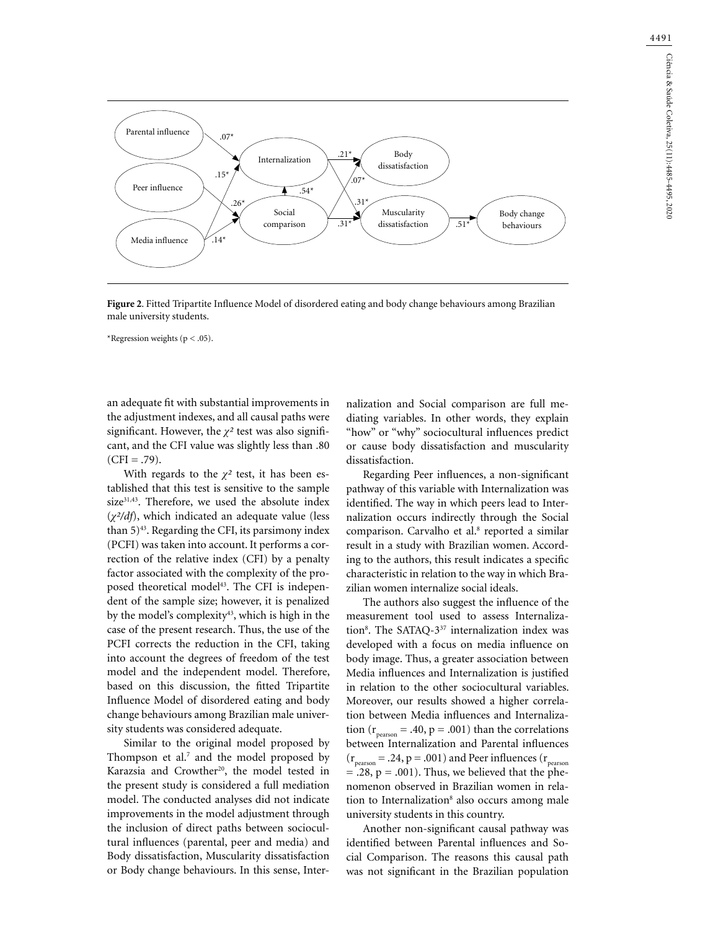

**Figure 2**. Fitted Tripartite Influence Model of disordered eating and body change behaviours among Brazilian male university students.

\*Regression weights ( $p < .05$ ).

an adequate fit with substantial improvements in the adjustment indexes, and all causal paths were significant. However, the *χ²* test was also significant, and the CFI value was slightly less than .80  $(CFI = .79)$ .

With regards to the  $\chi^2$  test, it has been established that this test is sensitive to the sample size<sup>31,43</sup>. Therefore, we used the absolute index (*χ²/df*), which indicated an adequate value (less than  $5)^{43}$ . Regarding the CFI, its parsimony index (PCFI) was taken into account. It performs a correction of the relative index (CFI) by a penalty factor associated with the complexity of the proposed theoretical model<sup>43</sup>. The CFI is independent of the sample size; however, it is penalized by the model's complexity<sup>43</sup>, which is high in the case of the present research. Thus, the use of the PCFI corrects the reduction in the CFI, taking into account the degrees of freedom of the test model and the independent model. Therefore, based on this discussion, the fitted Tripartite Influence Model of disordered eating and body change behaviours among Brazilian male university students was considered adequate.

Similar to the original model proposed by Thompson et al.<sup>7</sup> and the model proposed by Karazsia and Crowther<sup>20</sup>, the model tested in the present study is considered a full mediation model. The conducted analyses did not indicate improvements in the model adjustment through the inclusion of direct paths between sociocultural influences (parental, peer and media) and Body dissatisfaction, Muscularity dissatisfaction or Body change behaviours. In this sense, Internalization and Social comparison are full mediating variables. In other words, they explain "how" or "why" sociocultural influences predict or cause body dissatisfaction and muscularity dissatisfaction.

Regarding Peer influences, a non-significant pathway of this variable with Internalization was identified. The way in which peers lead to Internalization occurs indirectly through the Social comparison. Carvalho et al.<sup>8</sup> reported a similar result in a study with Brazilian women. According to the authors, this result indicates a specific characteristic in relation to the way in which Brazilian women internalize social ideals.

The authors also suggest the influence of the measurement tool used to assess Internalization<sup>8</sup>. The SATAQ-3<sup>37</sup> internalization index was developed with a focus on media influence on body image. Thus, a greater association between Media influences and Internalization is justified in relation to the other sociocultural variables. Moreover, our results showed a higher correlation between Media influences and Internalization ( $r_{\text{person}} = .40$ ,  $p = .001$ ) than the correlations between Internalization and Parental influences  $(r_{\text{pearson}} = .24, p = .001)$  and Peer influences  $(r_{\text{pearson}})$  $= .28, p = .001$ ). Thus, we believed that the phenomenon observed in Brazilian women in relation to Internalization<sup>8</sup> also occurs among male university students in this country.

Another non-significant causal pathway was identified between Parental influences and Social Comparison. The reasons this causal path was not significant in the Brazilian population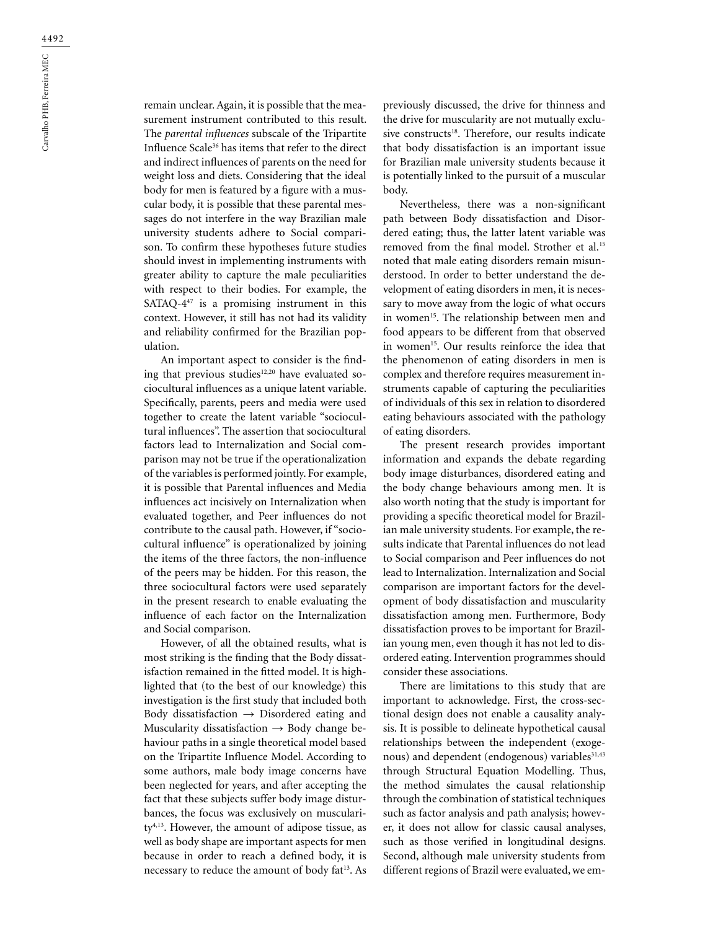remain unclear. Again, it is possible that the measurement instrument contributed to this result. The *parental influences* subscale of the Tripartite Influence Scale36 has items that refer to the direct and indirect influences of parents on the need for weight loss and diets. Considering that the ideal body for men is featured by a figure with a muscular body, it is possible that these parental messages do not interfere in the way Brazilian male university students adhere to Social comparison. To confirm these hypotheses future studies should invest in implementing instruments with greater ability to capture the male peculiarities with respect to their bodies. For example, the SATAQ- $4^{47}$  is a promising instrument in this context. However, it still has not had its validity and reliability confirmed for the Brazilian population.

An important aspect to consider is the finding that previous studies<sup>12,20</sup> have evaluated sociocultural influences as a unique latent variable. Specifically, parents, peers and media were used together to create the latent variable "sociocultural influences". The assertion that sociocultural factors lead to Internalization and Social comparison may not be true if the operationalization of the variables is performed jointly. For example, it is possible that Parental influences and Media influences act incisively on Internalization when evaluated together, and Peer influences do not contribute to the causal path. However, if "sociocultural influence" is operationalized by joining the items of the three factors, the non-influence of the peers may be hidden. For this reason, the three sociocultural factors were used separately in the present research to enable evaluating the influence of each factor on the Internalization and Social comparison.

However, of all the obtained results, what is most striking is the finding that the Body dissatisfaction remained in the fitted model. It is highlighted that (to the best of our knowledge) this investigation is the first study that included both Body dissatisfaction  $\rightarrow$  Disordered eating and Muscularity dissatisfaction  $\rightarrow$  Body change behaviour paths in a single theoretical model based on the Tripartite Influence Model. According to some authors, male body image concerns have been neglected for years, and after accepting the fact that these subjects suffer body image disturbances, the focus was exclusively on musculari $ty<sup>4,13</sup>$ . However, the amount of adipose tissue, as well as body shape are important aspects for men because in order to reach a defined body, it is necessary to reduce the amount of body fat<sup>13</sup>. As

previously discussed, the drive for thinness and the drive for muscularity are not mutually exclusive constructs<sup>18</sup>. Therefore, our results indicate that body dissatisfaction is an important issue for Brazilian male university students because it is potentially linked to the pursuit of a muscular body.

Nevertheless, there was a non-significant path between Body dissatisfaction and Disordered eating; thus, the latter latent variable was removed from the final model. Strother et al.15 noted that male eating disorders remain misunderstood. In order to better understand the development of eating disorders in men, it is necessary to move away from the logic of what occurs in women<sup>15</sup>. The relationship between men and food appears to be different from that observed in women<sup>15</sup>. Our results reinforce the idea that the phenomenon of eating disorders in men is complex and therefore requires measurement instruments capable of capturing the peculiarities of individuals of this sex in relation to disordered eating behaviours associated with the pathology of eating disorders.

The present research provides important information and expands the debate regarding body image disturbances, disordered eating and the body change behaviours among men. It is also worth noting that the study is important for providing a specific theoretical model for Brazilian male university students. For example, the results indicate that Parental influences do not lead to Social comparison and Peer influences do not lead to Internalization. Internalization and Social comparison are important factors for the development of body dissatisfaction and muscularity dissatisfaction among men. Furthermore, Body dissatisfaction proves to be important for Brazilian young men, even though it has not led to disordered eating. Intervention programmes should consider these associations.

There are limitations to this study that are important to acknowledge. First, the cross-sectional design does not enable a causality analysis. It is possible to delineate hypothetical causal relationships between the independent (exogenous) and dependent (endogenous) variables<sup>31,43</sup> through Structural Equation Modelling. Thus, the method simulates the causal relationship through the combination of statistical techniques such as factor analysis and path analysis; however, it does not allow for classic causal analyses, such as those verified in longitudinal designs. Second, although male university students from different regions of Brazil were evaluated, we em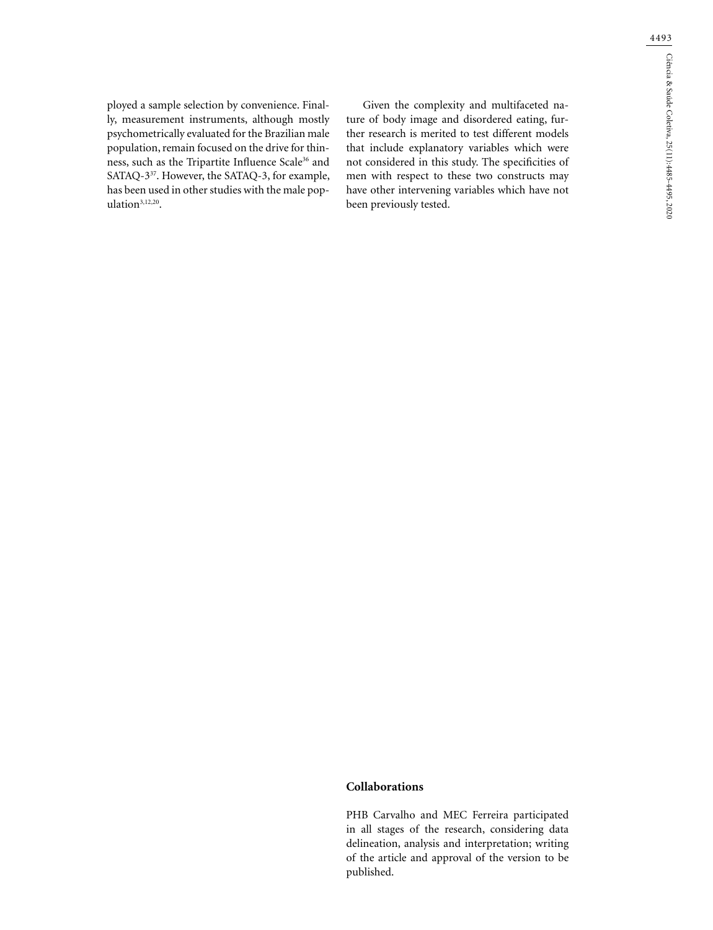ployed a sample selection by convenience. Finally, measurement instruments, although mostly psychometrically evaluated for the Brazilian male population, remain focused on the drive for thinness, such as the Tripartite Influence Scale<sup>36</sup> and SATAQ-337. However, the SATAQ-3, for example, has been used in other studies with the male population<sup>3,12,20</sup>.

Given the complexity and multifaceted nature of body image and disordered eating, further research is merited to test different models that include explanatory variables which were not considered in this study. The specificities of men with respect to these two constructs may have other intervening variables which have not been previously tested.

### **Collaborations**

PHB Carvalho and MEC Ferreira participated in all stages of the research, considering data delineation, analysis and interpretation; writing of the article and approval of the version to be published.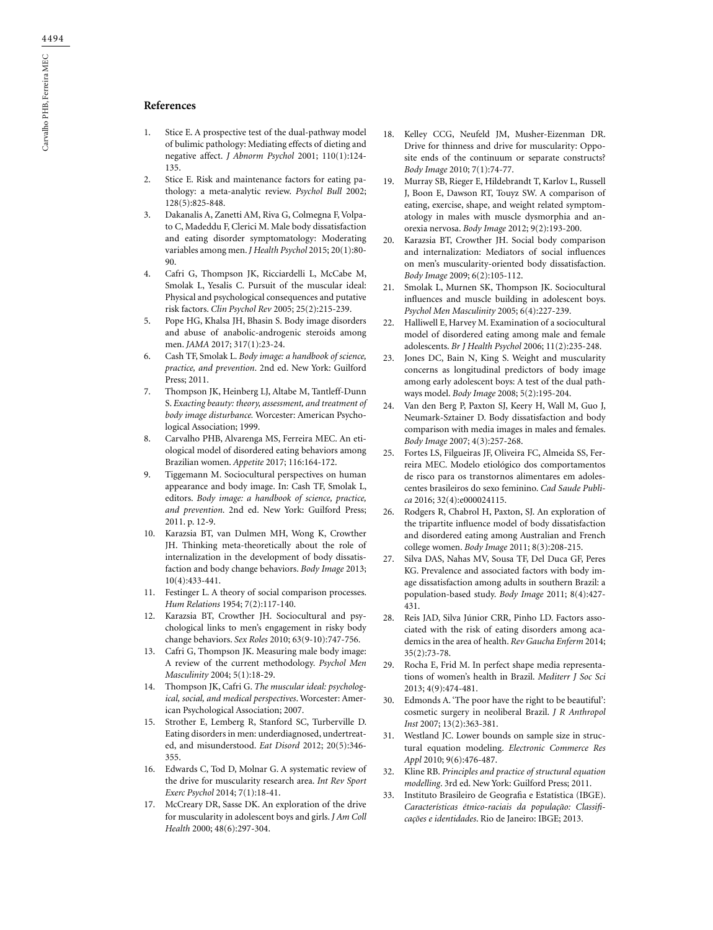## **References**

- 1. Stice E. A prospective test of the dual-pathway model of bulimic pathology: Mediating effects of dieting and negative affect. *J Abnorm Psychol* 2001; 110(1):124- 135.
- 2. Stice E. Risk and maintenance factors for eating pathology: a meta-analytic review. *Psychol Bull* 2002; 128(5):825-848.
- 3. Dakanalis A, Zanetti AM, Riva G, Colmegna F, Volpato C, Madeddu F, Clerici M. Male body dissatisfaction and eating disorder symptomatology: Moderating variables among men. *J Health Psychol* 2015; 20(1):80- 90.
- 4. Cafri G, Thompson JK, Ricciardelli L, McCabe M, Smolak L, Yesalis C. Pursuit of the muscular ideal: Physical and psychological consequences and putative risk factors. *Clin Psychol Rev* 2005; 25(2):215-239.
- 5. Pope HG, Khalsa JH, Bhasin S. Body image disorders and abuse of anabolic-androgenic steroids among men. *JAMA* 2017; 317(1):23-24.
- 6. Cash TF, Smolak L. *Body image: a handbook of science, practice, and prevention*. 2nd ed. New York: Guilford Press; 2011.
- 7. Thompson JK, Heinberg LJ, Altabe M, Tantleff-Dunn S. *Exacting beauty: theory, assessment, and treatment of body image disturbance.* Worcester: American Psychological Association; 1999.
- 8. Carvalho PHB, Alvarenga MS, Ferreira MEC. An etiological model of disordered eating behaviors among Brazilian women. *Appetite* 2017; 116:164-172.
- 9. Tiggemann M. Sociocultural perspectives on human appearance and body image. In: Cash TF, Smolak L, editors. *Body image: a handbook of science, practice, and prevention*. 2nd ed. New York: Guilford Press; 2011. p. 12-9.
- 10. Karazsia BT, van Dulmen MH, Wong K, Crowther JH. Thinking meta-theoretically about the role of internalization in the development of body dissatisfaction and body change behaviors. *Body Image* 2013; 10(4):433-441.
- 11. Festinger L. A theory of social comparison processes. *Hum Relations* 1954; 7(2):117-140.
- 12. Karazsia BT, Crowther JH. Sociocultural and psychological links to men's engagement in risky body change behaviors. *Sex Roles* 2010; 63(9-10):747-756.
- 13. Cafri G, Thompson JK. Measuring male body image: A review of the current methodology. *Psychol Men Masculinity* 2004; 5(1):18-29.
- 14. Thompson JK, Cafri G. *The muscular ideal: psychological, social, and medical perspectives*. Worcester: American Psychological Association; 2007.
- 15. Strother E, Lemberg R, Stanford SC, Turberville D. Eating disorders in men: underdiagnosed, undertreated, and misunderstood. *Eat Disord* 2012; 20(5):346- 355.
- 16. Edwards C, Tod D, Molnar G. A systematic review of the drive for muscularity research area. *Int Rev Sport Exerc Psychol* 2014; 7(1):18-41.
- 17. McCreary DR, Sasse DK. An exploration of the drive for muscularity in adolescent boys and girls. *J Am Coll Health* 2000; 48(6):297-304.
- 18. Kelley CCG, Neufeld JM, Musher-Eizenman DR. Drive for thinness and drive for muscularity: Opposite ends of the continuum or separate constructs? *Body Image* 2010; 7(1):74-77.
- 19. Murray SB, Rieger E, Hildebrandt T, Karlov L, Russell J, Boon E, Dawson RT, Touyz SW. A comparison of eating, exercise, shape, and weight related symptomatology in males with muscle dysmorphia and anorexia nervosa. *Body Image* 2012; 9(2):193-200.
- 20. Karazsia BT, Crowther JH. Social body comparison and internalization: Mediators of social influences on men's muscularity-oriented body dissatisfaction. *Body Image* 2009; 6(2):105-112.
- 21. Smolak L, Murnen SK, Thompson JK. Sociocultural influences and muscle building in adolescent boys. *Psychol Men Masculinity* 2005; 6(4):227-239.
- 22. Halliwell E, Harvey M. Examination of a sociocultural model of disordered eating among male and female adolescents. *Br J Health Psychol* 2006; 11(2):235-248.
- 23. Jones DC, Bain N, King S. Weight and muscularity concerns as longitudinal predictors of body image among early adolescent boys: A test of the dual pathways model. *Body Image* 2008; 5(2):195-204.
- 24. Van den Berg P, Paxton SJ, Keery H, Wall M, Guo J, Neumark-Sztainer D. Body dissatisfaction and body comparison with media images in males and females. *Body Image* 2007; 4(3):257-268.
- 25. Fortes LS, Filgueiras JF, Oliveira FC, Almeida SS, Ferreira MEC. Modelo etiológico dos comportamentos de risco para os transtornos alimentares em adolescentes brasileiros do sexo feminino. *Cad Saude Publica* 2016; 32(4):e000024115.
- 26. Rodgers R, Chabrol H, Paxton, SJ. An exploration of the tripartite influence model of body dissatisfaction and disordered eating among Australian and French college women. *Body Image* 2011; 8(3):208-215.
- 27. Silva DAS, Nahas MV, Sousa TF, Del Duca GF, Peres KG. Prevalence and associated factors with body image dissatisfaction among adults in southern Brazil: a population-based study. *Body Image* 2011; 8(4):427- 431.
- 28. Reis JAD, Silva Júnior CRR, Pinho LD. Factors associated with the risk of eating disorders among academics in the area of health. *Rev Gaucha Enferm* 2014; 35(2):73-78.
- 29. Rocha E, Frid M. In perfect shape media representations of women's health in Brazil. *Mediterr J Soc Sci* 2013; 4(9):474-481.
- 30. Edmonds A. 'The poor have the right to be beautiful': cosmetic surgery in neoliberal Brazil. *J R Anthropol Inst* 2007; 13(2):363-381.
- 31. Westland JC. Lower bounds on sample size in structural equation modeling. *Electronic Commerce Res Appl* 2010; 9(6):476-487.
- 32. Kline RB. *Principles and practice of structural equation modelling*. 3rd ed. New York: Guilford Press; 2011.
- 33. Instituto Brasileiro de Geografia e Estatística (IBGE). *Características étnico-raciais da população: Classificações e identidades*. Rio de Janeiro: IBGE; 2013.